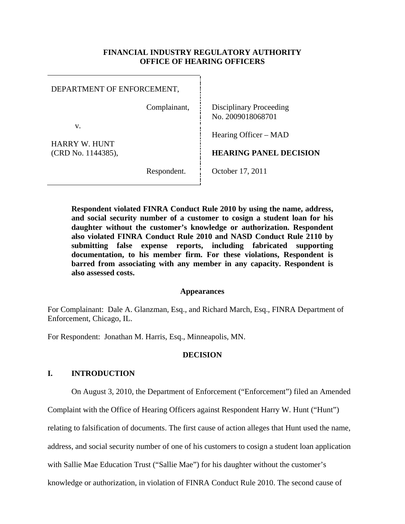## **FINANCIAL INDUSTRY REGULATORY AUTHORITY OFFICE OF HEARING OFFICERS**

| DEPARTMENT OF ENFORCEMENT,                |              |                                                     |
|-------------------------------------------|--------------|-----------------------------------------------------|
|                                           | Complainant, | <b>Disciplinary Proceeding</b><br>No. 2009018068701 |
| v.<br>HARRY W. HUNT<br>(CRD No. 1144385), |              | Hearing Officer – MAD                               |
|                                           |              | <b>HEARING PANEL DECISION</b>                       |
|                                           | Respondent.  | October 17, 2011                                    |

**Respondent violated FINRA Conduct Rule 2010 by using the name, address, and social security number of a customer to cosign a student loan for his daughter without the customer's knowledge or authorization. Respondent also violated FINRA Conduct Rule 2010 and NASD Conduct Rule 2110 by submitting false expense reports, including fabricated supporting documentation, to his member firm. For these violations, Respondent is barred from associating with any member in any capacity. Respondent is also assessed costs.** 

### **Appearances**

For Complainant: Dale A. Glanzman, Esq., and Richard March, Esq., FINRA Department of Enforcement, Chicago, IL.

For Respondent: Jonathan M. Harris, Esq., Minneapolis, MN.

### **DECISION**

## **I. INTRODUCTION**

On August 3, 2010, the Department of Enforcement ("Enforcement") filed an Amended

Complaint with the Office of Hearing Officers against Respondent Harry W. Hunt ("Hunt")

relating to falsification of documents. The first cause of action alleges that Hunt used the name,

address, and social security number of one of his customers to cosign a student loan application

with Sallie Mae Education Trust ("Sallie Mae") for his daughter without the customer's

knowledge or authorization, in violation of FINRA Conduct Rule 2010. The second cause of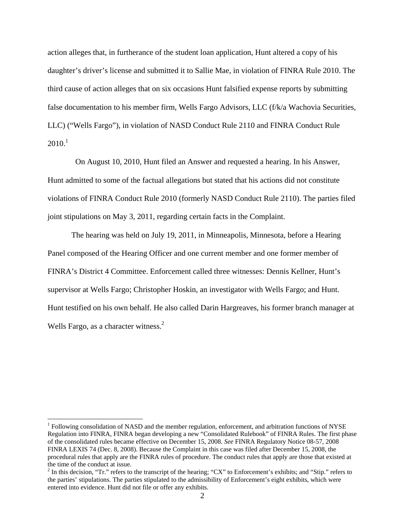action alleges that, in furtherance of the student loan application, Hunt altered a copy of his daughter's driver's license and submitted it to Sallie Mae, in violation of FINRA Rule 2010. The third cause of action alleges that on six occasions Hunt falsified expense reports by submitting false documentation to his member firm, Wells Fargo Advisors, LLC (f/k/a Wachovia Securities, LLC) ("Wells Fargo"), in violation of NASD Conduct Rule 2110 and FINRA Conduct Rule  $2010.<sup>1</sup>$ 

 On August 10, 2010, Hunt filed an Answer and requested a hearing. In his Answer, Hunt admitted to some of the factual allegations but stated that his actions did not constitute violations of FINRA Conduct Rule 2010 (formerly NASD Conduct Rule 2110). The parties filed joint stipulations on May 3, 2011, regarding certain facts in the Complaint.

The hearing was held on July 19, 2011, in Minneapolis, Minnesota, before a Hearing Panel composed of the Hearing Officer and one current member and one former member of FINRA's District 4 Committee. Enforcement called three witnesses: Dennis Kellner, Hunt's supervisor at Wells Fargo; Christopher Hoskin, an investigator with Wells Fargo; and Hunt. Hunt testified on his own behalf. He also called Darin Hargreaves, his former branch manager at Wells Fargo, as a character witness.<sup>2</sup>

<sup>&</sup>lt;sup>1</sup> Following consolidation of NASD and the member regulation, enforcement, and arbitration functions of NYSE Regulation into FINRA, FINRA began developing a new "Consolidated Rulebook" of FINRA Rules. The first phase of the consolidated rules became effective on December 15, 2008. *See* FINRA Regulatory Notice 08-57, 2008 FINRA LEXIS 74 (Dec. 8, 2008). Because the Complaint in this case was filed after December 15, 2008, the procedural rules that apply are the FINRA rules of procedure. The conduct rules that apply are those that existed at the time of the conduct at issue.

 $2^2$  In this decision, "Tr." refers to the transcript of the hearing; "CX" to Enforcement's exhibits; and "Stip." refers to the parties' stipulations. The parties stipulated to the admissibility of Enforcement's eight exhibits, which were entered into evidence. Hunt did not file or offer any exhibits.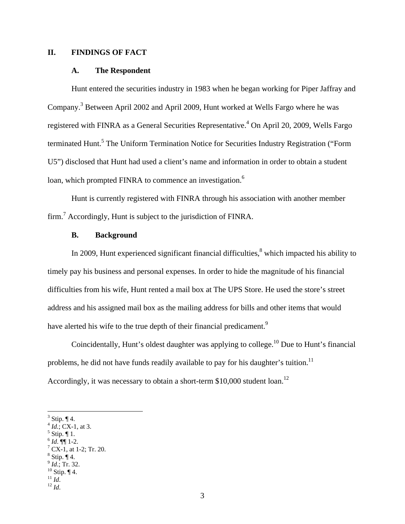## **II. FINDINGS OF FACT**

#### **A. The Respondent**

Hunt entered the securities industry in 1983 when he began working for Piper Jaffray and Company.<sup>3</sup> Between April 2002 and April 2009, Hunt worked at Wells Fargo where he was registered with FINRA as a General Securities Representative.<sup>4</sup> On April 20, 2009, Wells Fargo terminated Hunt.<sup>5</sup> The Uniform Termination Notice for Securities Industry Registration ("Form U5") disclosed that Hunt had used a client's name and information in order to obtain a student loan, which prompted FINRA to commence an investigation.<sup>6</sup>

Hunt is currently registered with FINRA through his association with another member firm.<sup>7</sup> Accordingly, Hunt is subject to the jurisdiction of FINRA.

### **B. Background**

In 2009, Hunt experienced significant financial difficulties, $<sup>8</sup>$  which impacted his ability to</sup> timely pay his business and personal expenses. In order to hide the magnitude of his financial difficulties from his wife, Hunt rented a mail box at The UPS Store. He used the store's street address and his assigned mail box as the mailing address for bills and other items that would have alerted his wife to the true depth of their financial predicament.<sup>9</sup>

Coincidentally, Hunt's oldest daughter was applying to college.<sup>10</sup> Due to Hunt's financial problems, he did not have funds readily available to pay for his daughter's tuition.<sup>11</sup> Accordingly, it was necessary to obtain a short-term  $$10,000$  student loan.<sup>12</sup>

- $<sup>5</sup>$  Stip.  $\P$  1.</sup>
- $^{6}$  *Id*.  $\P$  $\degree$  1-2.

- $^8$  Stip. ¶ 4.
- $\int_{10}^{9} I d$ .; Tr. 32.<br><sup>10</sup> Stip. ¶ 4.<br><sup>11</sup> *Id.*
- 
- $12$  *Id.*

 $3$  Stip.  $\P$  4.

 $^{4}$  *Id.*; CX-1, at 3.

 $^7$  CX-1, at 1-2; Tr. 20.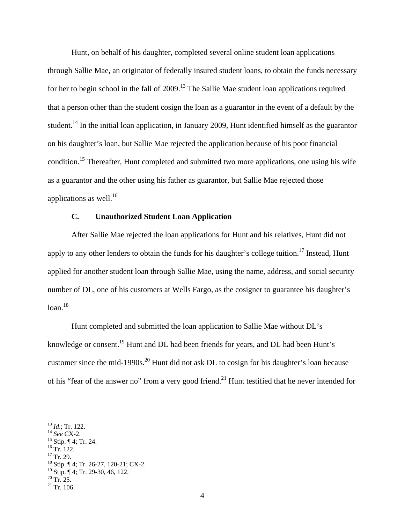Hunt, on behalf of his daughter, completed several online student loan applications through Sallie Mae, an originator of federally insured student loans, to obtain the funds necessary for her to begin school in the fall of  $2009$ <sup>13</sup>. The Sallie Mae student loan applications required that a person other than the student cosign the loan as a guarantor in the event of a default by the student.<sup>14</sup> In the initial loan application, in January 2009, Hunt identified himself as the guarantor on his daughter's loan, but Sallie Mae rejected the application because of his poor financial condition.15 Thereafter, Hunt completed and submitted two more applications, one using his wife as a guarantor and the other using his father as guarantor, but Sallie Mae rejected those applications as well. $^{16}$ 

# **C. Unauthorized Student Loan Application**

After Sallie Mae rejected the loan applications for Hunt and his relatives, Hunt did not apply to any other lenders to obtain the funds for his daughter's college tuition.<sup>17</sup> Instead, Hunt applied for another student loan through Sallie Mae, using the name, address, and social security number of DL, one of his customers at Wells Fargo, as the cosigner to guarantee his daughter's  $loan.<sup>18</sup>$ 

Hunt completed and submitted the loan application to Sallie Mae without DL's knowledge or consent.<sup>19</sup> Hunt and DL had been friends for years, and DL had been Hunt's customer since the mid-1990s.<sup>20</sup> Hunt did not ask DL to cosign for his daughter's loan because of his "fear of the answer no" from a very good friend.<sup>21</sup> Hunt testified that he never intended for

<sup>13</sup> *Id.*; Tr. 122.<br><sup>14</sup> *See* CX-2.<br><sup>15</sup> Stip. ¶ 4; Tr. 24.

 $17$  Tr. 29.

 $\overline{a}$ 

18 Stip. ¶ 4; Tr. 26-27, 120-21; CX-2. <sup>19</sup> Stip. ¶ 4; Tr. 29-30, 46, 122.

4

 $16$  Tr. 122.

 $20$  Tr. 25.

 $21$  Tr. 106.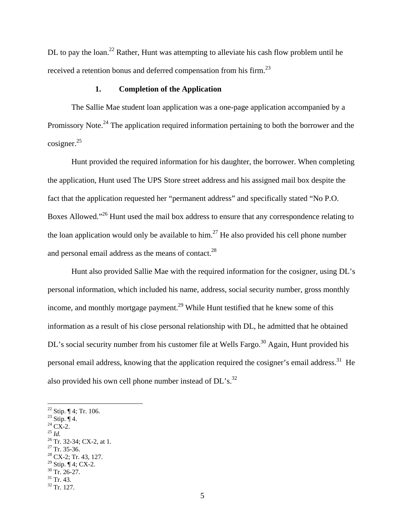DL to pay the loan.<sup>22</sup> Rather, Hunt was attempting to alleviate his cash flow problem until he received a retention bonus and deferred compensation from his firm.<sup>23</sup>

# **1. Completion of the Application**

The Sallie Mae student loan application was a one-page application accompanied by a Promissory Note.<sup>24</sup> The application required information pertaining to both the borrower and the cosigner.<sup>25</sup>

Hunt provided the required information for his daughter, the borrower. When completing the application, Hunt used The UPS Store street address and his assigned mail box despite the fact that the application requested her "permanent address" and specifically stated "No P.O. Boxes Allowed."<sup>26</sup> Hunt used the mail box address to ensure that any correspondence relating to the loan application would only be available to him.<sup>27</sup> He also provided his cell phone number and personal email address as the means of contact.<sup>28</sup>

Hunt also provided Sallie Mae with the required information for the cosigner, using DL's personal information, which included his name, address, social security number, gross monthly income, and monthly mortgage payment.<sup>29</sup> While Hunt testified that he knew some of this information as a result of his close personal relationship with DL, he admitted that he obtained DL's social security number from his customer file at Wells Fargo.<sup>30</sup> Again, Hunt provided his personal email address, knowing that the application required the cosigner's email address.<sup>31</sup> He also provided his own cell phone number instead of  $DL$ 's.<sup>32</sup>

- <sup>23</sup> Stip.  $\P$  4.
- $\frac{^{24}}{^{25}}\frac{\text{CX-2}}{^{14}}$ .

- 
- <sup>26</sup> Tr. 32-34; CX-2, at 1.  $27$  Tr. 35-36.
- 
- $28$  CX-2; Tr. 43, 127. <sup>29</sup> Stip.  $\P$  4; CX-2.
- $30$  Tr. 26-27.
- $31$  Tr. 43.

<sup>&</sup>lt;sup>22</sup> Stip.  $\P$  4; Tr. 106.

 $32$  Tr. 127.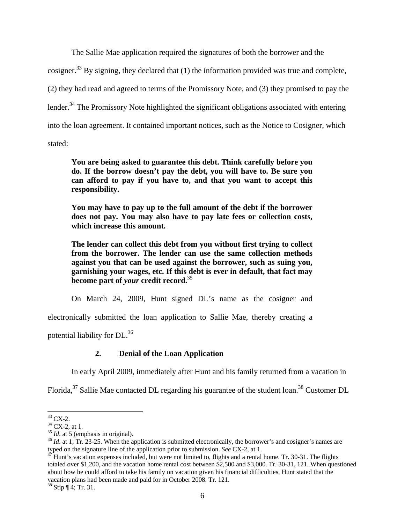The Sallie Mae application required the signatures of both the borrower and the cosigner.<sup>33</sup> By signing, they declared that  $(1)$  the information provided was true and complete, (2) they had read and agreed to terms of the Promissory Note, and (3) they promised to pay the lender.<sup>34</sup> The Promissory Note highlighted the significant obligations associated with entering into the loan agreement. It contained important notices, such as the Notice to Cosigner, which

stated:

**You are being asked to guarantee this debt. Think carefully before you do. If the borrow doesn't pay the debt, you will have to. Be sure you can afford to pay if you have to, and that you want to accept this responsibility.** 

**You may have to pay up to the full amount of the debt if the borrower does not pay. You may also have to pay late fees or collection costs, which increase this amount.** 

**The lender can collect this debt from you without first trying to collect from the borrower. The lender can use the same collection methods against you that can be used against the borrower, such as suing you, garnishing your wages, etc. If this debt is ever in default, that fact may become part of** *your* **credit record.**<sup>35</sup>

On March 24, 2009, Hunt signed DL's name as the cosigner and

electronically submitted the loan application to Sallie Mae, thereby creating a

potential liability for DL.<sup>36</sup>

## **2. Denial of the Loan Application**

In early April 2009, immediately after Hunt and his family returned from a vacation in

Florida,  $37$  Sallie Mae contacted DL regarding his guarantee of the student loan.<sup>38</sup> Customer DL

<sup>1</sup>  $33$  CX-2.

 $^{34}$  CX-2, at 1.<br><sup>35</sup> *Id.* at 5 (emphasis in original).

<sup>&</sup>lt;sup>36</sup> *Id.* at 1; Tr. 23-25. When the application is submitted electronically, the borrower's and cosigner's names are typed on the signature line of the application prior to submission. *See* CX-2, at 1.<br><sup>37</sup> Hunt's vacation expenses included, but were not limited to, flights and a rental home. Tr. 30-31. The flights

totaled over \$1,200, and the vacation home rental cost between \$2,500 and \$3,000. Tr. 30-31, 121. When questioned about how he could afford to take his family on vacation given his financial difficulties, Hunt stated that the vacation plans had been made and paid for in October 2008. Tr. 121.

 $38$  Stip  $\P$  4; Tr. 31.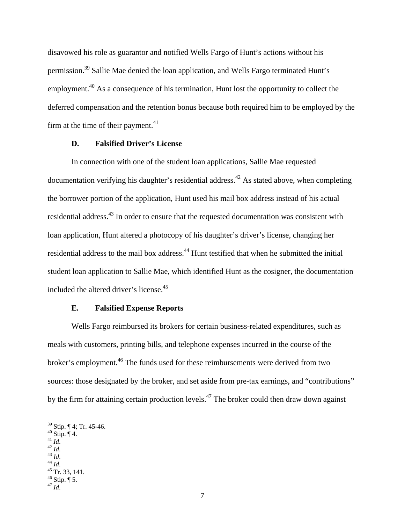disavowed his role as guarantor and notified Wells Fargo of Hunt's actions without his permission.39 Sallie Mae denied the loan application, and Wells Fargo terminated Hunt's employment.<sup>40</sup> As a consequence of his termination, Hunt lost the opportunity to collect the deferred compensation and the retention bonus because both required him to be employed by the firm at the time of their payment. $41$ 

### **D. Falsified Driver's License**

In connection with one of the student loan applications, Sallie Mae requested documentation verifying his daughter's residential address.<sup>42</sup> As stated above, when completing the borrower portion of the application, Hunt used his mail box address instead of his actual residential address.<sup>43</sup> In order to ensure that the requested documentation was consistent with loan application, Hunt altered a photocopy of his daughter's driver's license, changing her residential address to the mail box address.<sup>44</sup> Hunt testified that when he submitted the initial student loan application to Sallie Mae, which identified Hunt as the cosigner, the documentation included the altered driver's license.<sup>45</sup>

#### **E. Falsified Expense Reports**

 Wells Fargo reimbursed its brokers for certain business-related expenditures, such as meals with customers, printing bills, and telephone expenses incurred in the course of the broker's employment.46 The funds used for these reimbursements were derived from two sources: those designated by the broker, and set aside from pre-tax earnings, and "contributions" by the firm for attaining certain production levels.<sup>47</sup> The broker could then draw down against

<u>.</u>

41 *Id.*<br>
<sup>42</sup> *Id.*<br>
<sup>43</sup> *Id.*<br>
<sup>44</sup> *Id.*<br>
<sup>45</sup> Tr. 33, 141.

 $39$  Stip. ¶ 4; Tr. 45-46.

 $40$  Stip.  $\overline{\P}$  4.

 $46$  Stip.  $\P$  5.

 $^{47}$  *Id.*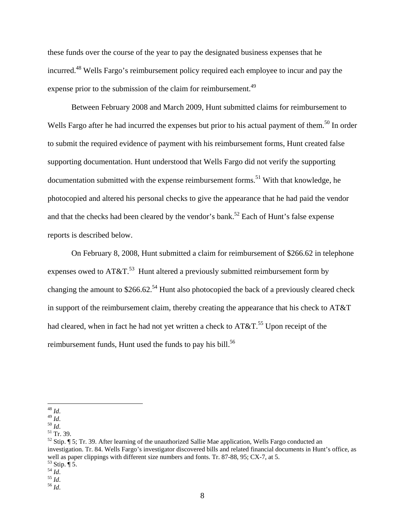these funds over the course of the year to pay the designated business expenses that he incurred.48 Wells Fargo's reimbursement policy required each employee to incur and pay the expense prior to the submission of the claim for reimbursement.<sup>49</sup>

 Between February 2008 and March 2009, Hunt submitted claims for reimbursement to Wells Fargo after he had incurred the expenses but prior to his actual payment of them.<sup>50</sup> In order to submit the required evidence of payment with his reimbursement forms, Hunt created false supporting documentation. Hunt understood that Wells Fargo did not verify the supporting documentation submitted with the expense reimbursement forms.<sup>51</sup> With that knowledge, he photocopied and altered his personal checks to give the appearance that he had paid the vendor and that the checks had been cleared by the vendor's bank.<sup>52</sup> Each of Hunt's false expense reports is described below.

 On February 8, 2008, Hunt submitted a claim for reimbursement of \$266.62 in telephone expenses owed to  $AT&T.^{53}$  Hunt altered a previously submitted reimbursement form by changing the amount to  $$266.62<sup>54</sup>$  Hunt also photocopied the back of a previously cleared check in support of the reimbursement claim, thereby creating the appearance that his check to AT&T had cleared, when in fact he had not yet written a check to  $AT&T.^{55}$  Upon receipt of the reimbursement funds, Hunt used the funds to pay his bill.<sup>56</sup>

 $^{48}\,$  Id.

<sup>48</sup> *Id*. 49 *Id*. 50 *Id*. 51 Tr. 39.

 $52$  Stip.  $\sqrt{ }$  5; Tr. 39. After learning of the unauthorized Sallie Mae application, Wells Fargo conducted an investigation. Tr. 84. Wells Fargo's investigator discovered bills and related financial documents in Hunt's office, as well as paper clippings with different size numbers and fonts. Tr. 87-88, 95; CX-7, at 5.  $53$  Stip.  $\P$  5.

<sup>54</sup> *Id*. 55 *Id*. 56 *Id*.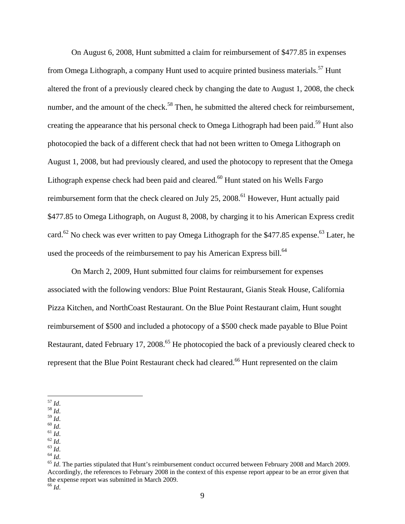On August 6, 2008, Hunt submitted a claim for reimbursement of \$477.85 in expenses from Omega Lithograph, a company Hunt used to acquire printed business materials.<sup>57</sup> Hunt altered the front of a previously cleared check by changing the date to August 1, 2008, the check number, and the amount of the check.<sup>58</sup> Then, he submitted the altered check for reimbursement, creating the appearance that his personal check to Omega Lithograph had been paid.<sup>59</sup> Hunt also photocopied the back of a different check that had not been written to Omega Lithograph on August 1, 2008, but had previously cleared, and used the photocopy to represent that the Omega Lithograph expense check had been paid and cleared. $60$  Hunt stated on his Wells Fargo reimbursement form that the check cleared on July 25, 2008.<sup>61</sup> However, Hunt actually paid \$477.85 to Omega Lithograph, on August 8, 2008, by charging it to his American Express credit card.<sup>62</sup> No check was ever written to pay Omega Lithograph for the \$477.85 expense.<sup>63</sup> Later, he used the proceeds of the reimbursement to pay his American Express bill.<sup>64</sup>

 On March 2, 2009, Hunt submitted four claims for reimbursement for expenses associated with the following vendors: Blue Point Restaurant, Gianis Steak House, California Pizza Kitchen, and NorthCoast Restaurant. On the Blue Point Restaurant claim, Hunt sought reimbursement of \$500 and included a photocopy of a \$500 check made payable to Blue Point Restaurant, dated February 17, 2008.<sup>65</sup> He photocopied the back of a previously cleared check to represent that the Blue Point Restaurant check had cleared.<sup>66</sup> Hunt represented on the claim

 $^\mathrm{57}$  Id.

<sup>&</sup>lt;sup>58</sup> *Id.*<br><sup>69</sup> *Id.*<br><sup>60</sup> *Id.*<br><sup>61</sup> *Id.*<br><sup>62</sup> *Id.*<br><sup>63</sup> *Id.*<br><sup>64</sup> *Id.*<br><sup>64</sup> *Id.*<br><sup>64</sup> *Id.*<br><sup>64</sup> *Id.*<br><sup>64</sup> *Id.*<br><sup>65</sup> *Id.*<br>*<sup>64</sup> <i>Id.*<br>*<sup>64</sup> <i>Id.*<br>*<sup>64</sup> <i>Id.*<br>*<sup>64</sup> <i>Id.*<br>*<sup>64</sup> <i>Id.* Accordingly, the references to February 2008 in the context of this expense report appear to be an error given that the expense report was submitted in March 2009. <sup>66</sup> *Id*.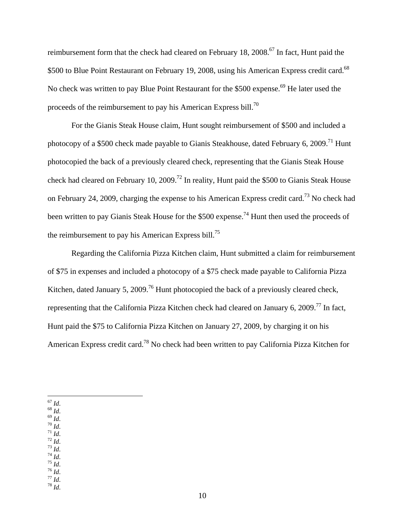reimbursement form that the check had cleared on February 18,  $2008$ .<sup>67</sup> In fact, Hunt paid the \$500 to Blue Point Restaurant on February 19, 2008, using his American Express credit card.<sup>68</sup> No check was written to pay Blue Point Restaurant for the \$500 expense.<sup>69</sup> He later used the proceeds of the reimbursement to pay his American Express bill.70

 For the Gianis Steak House claim, Hunt sought reimbursement of \$500 and included a photocopy of a \$500 check made payable to Gianis Steakhouse, dated February 6, 2009.<sup>71</sup> Hunt photocopied the back of a previously cleared check, representing that the Gianis Steak House check had cleared on February 10, 2009.<sup>72</sup> In reality, Hunt paid the \$500 to Gianis Steak House on February 24, 2009, charging the expense to his American Express credit card.73 No check had been written to pay Gianis Steak House for the \$500 expense.<sup>74</sup> Hunt then used the proceeds of the reimbursement to pay his American Express bill.75

 Regarding the California Pizza Kitchen claim, Hunt submitted a claim for reimbursement of \$75 in expenses and included a photocopy of a \$75 check made payable to California Pizza Kitchen, dated January 5, 2009.<sup>76</sup> Hunt photocopied the back of a previously cleared check, representing that the California Pizza Kitchen check had cleared on January 6, 2009.77 In fact, Hunt paid the \$75 to California Pizza Kitchen on January 27, 2009, by charging it on his American Express credit card.78 No check had been written to pay California Pizza Kitchen for

- $\frac{68}{1}$   $\frac{1}{4}$ .
- $\frac{69}{10}$  *Id.*  $70$  Id.
- $\int_{0}^{\pi}$  *Id.*
- $72$  Id.
- $^{73}$  Id.
- $\frac{74}{16}$  *Id.*  $^{75}$   $\overline{1}d$ .
- 
- 67 *Id*. 68 *Id*. 69 *Id*. 70 *Id*. 71 *Id*. 72 *Id*. 73 *Id*. 74 *Id*. 75 *Id*. 76 *Id*. 77 *Id*. 78 *Id*.  $\frac{76}{77}$  *Id.*<br> $\frac{77}{77}$  *Id.*
- $78 \overline{1}$

 $^{67}\,$  Id.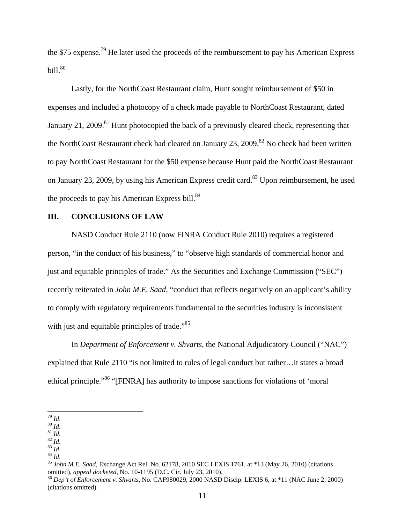the \$75 expense.<sup>79</sup> He later used the proceeds of the reimbursement to pay his American Express bill. $80$ 

 Lastly, for the NorthCoast Restaurant claim, Hunt sought reimbursement of \$50 in expenses and included a photocopy of a check made payable to NorthCoast Restaurant, dated January 21, 2009.<sup>81</sup> Hunt photocopied the back of a previously cleared check, representing that the NorthCoast Restaurant check had cleared on January 23, 2009.<sup>82</sup> No check had been written to pay NorthCoast Restaurant for the \$50 expense because Hunt paid the NorthCoast Restaurant on January 23, 2009, by using his American Express credit card.<sup>83</sup> Upon reimbursement, he used the proceeds to pay his American Express bill. $84$ 

# **III. CONCLUSIONS OF LAW**

NASD Conduct Rule 2110 (now FINRA Conduct Rule 2010) requires a registered person, "in the conduct of his business," to "observe high standards of commercial honor and just and equitable principles of trade." As the Securities and Exchange Commission ("SEC") recently reiterated in *John M.E. Saad*, "conduct that reflects negatively on an applicant's ability to comply with regulatory requirements fundamental to the securities industry is inconsistent with just and equitable principles of trade."<sup>85</sup>

In *Department of Enforcement v. Shvarts,* the National Adjudicatory Council ("NAC") explained that Rule 2110 "is not limited to rules of legal conduct but rather…it states a broad ethical principle."86 "[FINRA] has authority to impose sanctions for violations of 'moral

 $^{79}$  Id.

<sup>&</sup>lt;sup>80</sup> *Id.*<br><sup>81</sup> *Id.*<br><sup>82</sup> *Id.*<br><sup>84</sup> *Id.*<br><sup>85</sup> *John M.E. Saad*, Exchange Act Rel. No. 62178, 2010 SEC LEXIS 1761, at \*13 (May 26, 2010) (citations omitted), appeal docketed, No. 10-1195 (D.C. Cir. July 23, 2010).

<sup>&</sup>lt;sup>86</sup> Dep't of Enforcement v. Shvarts, No. CAF980029, 2000 NASD Discip. LEXIS 6, at \*11 (NAC June 2, 2000) (citations omitted).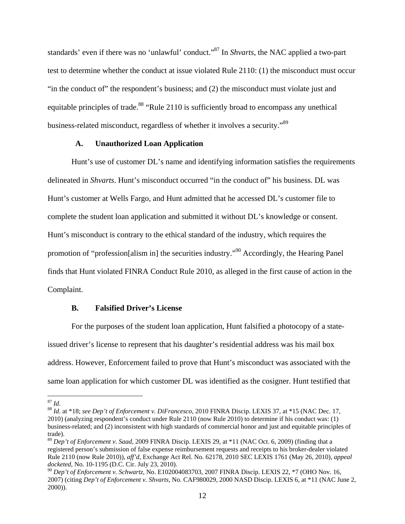standards' even if there was no 'unlawful' conduct."87 In *Shvarts*, the NAC applied a two-part test to determine whether the conduct at issue violated Rule 2110: (1) the misconduct must occur "in the conduct of" the respondent's business; and (2) the misconduct must violate just and equitable principles of trade.<sup>88</sup> "Rule 2110 is sufficiently broad to encompass any unethical business-related misconduct, regardless of whether it involves a security."89

### **A. Unauthorized Loan Application**

Hunt's use of customer DL's name and identifying information satisfies the requirements delineated in *Shvarts*. Hunt's misconduct occurred "in the conduct of" his business. DL was Hunt's customer at Wells Fargo, and Hunt admitted that he accessed DL's customer file to complete the student loan application and submitted it without DL's knowledge or consent. Hunt's misconduct is contrary to the ethical standard of the industry, which requires the promotion of "profession[alism in] the securities industry."90 Accordingly, the Hearing Panel finds that Hunt violated FINRA Conduct Rule 2010, as alleged in the first cause of action in the Complaint.

#### **B. Falsified Driver's License**

For the purposes of the student loan application, Hunt falsified a photocopy of a stateissued driver's license to represent that his daughter's residential address was his mail box address. However, Enforcement failed to prove that Hunt's misconduct was associated with the same loan application for which customer DL was identified as the cosigner. Hunt testified that

<sup>&</sup>lt;u>.</u>

<sup>87</sup> *Id*. 88 *Id*. at \*18; *see Dep't of Enforcement v. DiFrancesco,* 2010 FINRA Discip. LEXIS 37, at \*15 (NAC Dec. 17, 2010) (analyzing respondent's conduct under Rule 2110 (now Rule 2010) to determine if his conduct was: (1) business-related; and (2) inconsistent with high standards of commercial honor and just and equitable principles of trade).

<sup>89</sup> *Dep't of Enforcement v. Saad,* 2009 FINRA Discip. LEXIS 29, at \*11 (NAC Oct. 6, 2009) (finding that a registered person's submission of false expense reimbursement requests and receipts to his broker-dealer violated Rule 2110 (now Rule 2010)), *aff'd*, Exchange Act Rel. No. 62178, 2010 SEC LEXIS 1761 (May 26, 2010), *appeal docketed*, No. 10-1195 (D.C. Cir. July 23, 2010).

<sup>90</sup> *Dep't of Enforcement v. Schwartz,* No. E102004083703, 2007 FINRA Discip. LEXIS 22, \*7 (OHO Nov. 16, 2007) (citing *Dep't of Enforcement v. Shvarts,* No. CAF980029, 2000 NASD Discip. LEXIS 6, at \*11 (NAC June 2, 2000)).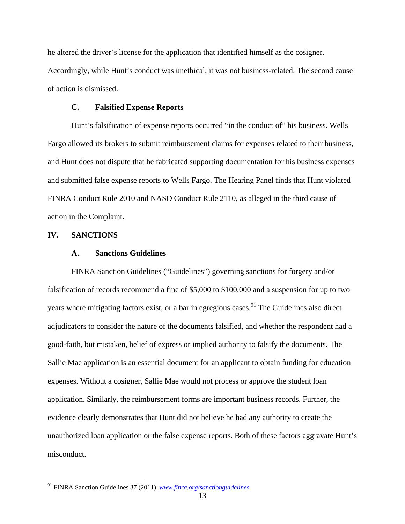he altered the driver's license for the application that identified himself as the cosigner. Accordingly, while Hunt's conduct was unethical, it was not business-related. The second cause of action is dismissed.

### **C. Falsified Expense Reports**

Hunt's falsification of expense reports occurred "in the conduct of" his business. Wells Fargo allowed its brokers to submit reimbursement claims for expenses related to their business, and Hunt does not dispute that he fabricated supporting documentation for his business expenses and submitted false expense reports to Wells Fargo. The Hearing Panel finds that Hunt violated FINRA Conduct Rule 2010 and NASD Conduct Rule 2110, as alleged in the third cause of action in the Complaint.

### **IV. SANCTIONS**

 $\overline{a}$ 

### **A. Sanctions Guidelines**

FINRA Sanction Guidelines ("Guidelines") governing sanctions for forgery and/or falsification of records recommend a fine of \$5,000 to \$100,000 and a suspension for up to two years where mitigating factors exist, or a bar in egregious cases.<sup>91</sup> The Guidelines also direct adjudicators to consider the nature of the documents falsified, and whether the respondent had a good-faith, but mistaken, belief of express or implied authority to falsify the documents. The Sallie Mae application is an essential document for an applicant to obtain funding for education expenses. Without a cosigner, Sallie Mae would not process or approve the student loan application. Similarly, the reimbursement forms are important business records. Further, the evidence clearly demonstrates that Hunt did not believe he had any authority to create the unauthorized loan application or the false expense reports. Both of these factors aggravate Hunt's misconduct.

<sup>91</sup> FINRA Sanction Guidelines 37 (2011), *www.finra.org/sanctionguidelines*.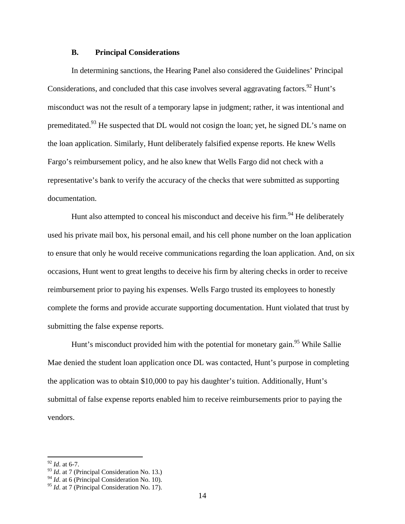### **B. Principal Considerations**

In determining sanctions, the Hearing Panel also considered the Guidelines' Principal Considerations, and concluded that this case involves several aggravating factors.<sup>92</sup> Hunt's misconduct was not the result of a temporary lapse in judgment; rather, it was intentional and premeditated.<sup>93</sup> He suspected that DL would not cosign the loan; yet, he signed DL's name on the loan application. Similarly, Hunt deliberately falsified expense reports. He knew Wells Fargo's reimbursement policy, and he also knew that Wells Fargo did not check with a representative's bank to verify the accuracy of the checks that were submitted as supporting documentation.

Hunt also attempted to conceal his misconduct and deceive his firm.<sup>94</sup> He deliberately used his private mail box, his personal email, and his cell phone number on the loan application to ensure that only he would receive communications regarding the loan application. And, on six occasions, Hunt went to great lengths to deceive his firm by altering checks in order to receive reimbursement prior to paying his expenses. Wells Fargo trusted its employees to honestly complete the forms and provide accurate supporting documentation. Hunt violated that trust by submitting the false expense reports.

Hunt's misconduct provided him with the potential for monetary gain.<sup>95</sup> While Sallie Mae denied the student loan application once DL was contacted, Hunt's purpose in completing the application was to obtain \$10,000 to pay his daughter's tuition. Additionally, Hunt's submittal of false expense reports enabled him to receive reimbursements prior to paying the vendors.

<sup>92</sup> *Id*. at 6-7.

<sup>93</sup> *Id*. at 7 (Principal Consideration No. 13.)

<sup>&</sup>lt;sup>94</sup> *Id.* at 6 (Principal Consideration No. 10).

<sup>&</sup>lt;sup>95</sup> *Id.* at 7 (Principal Consideration No. 17).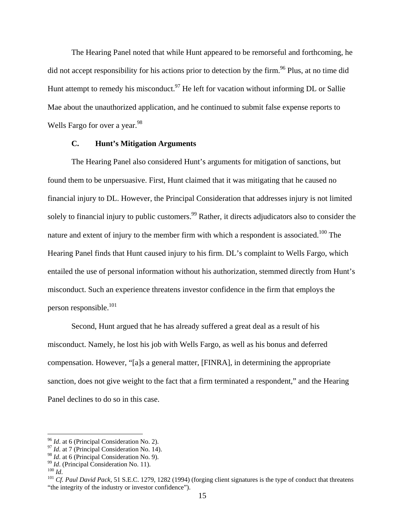The Hearing Panel noted that while Hunt appeared to be remorseful and forthcoming, he did not accept responsibility for his actions prior to detection by the firm.<sup>96</sup> Plus, at no time did Hunt attempt to remedy his misconduct.<sup>97</sup> He left for vacation without informing DL or Sallie Mae about the unauthorized application, and he continued to submit false expense reports to Wells Fargo for over a year.<sup>98</sup>

## **C. Hunt's Mitigation Arguments**

The Hearing Panel also considered Hunt's arguments for mitigation of sanctions, but found them to be unpersuasive. First, Hunt claimed that it was mitigating that he caused no financial injury to DL. However, the Principal Consideration that addresses injury is not limited solely to financial injury to public customers.<sup>99</sup> Rather, it directs adjudicators also to consider the nature and extent of injury to the member firm with which a respondent is associated.<sup>100</sup> The Hearing Panel finds that Hunt caused injury to his firm. DL's complaint to Wells Fargo, which entailed the use of personal information without his authorization, stemmed directly from Hunt's misconduct. Such an experience threatens investor confidence in the firm that employs the person responsible.101

Second, Hunt argued that he has already suffered a great deal as a result of his misconduct. Namely, he lost his job with Wells Fargo, as well as his bonus and deferred compensation. However, "[a]s a general matter, [FINRA], in determining the appropriate sanction, does not give weight to the fact that a firm terminated a respondent," and the Hearing Panel declines to do so in this case.

1

<sup>&</sup>lt;sup>96</sup> *Id.* at 6 (Principal Consideration No. 2).<br><sup>97</sup> *Id.* at 7 (Principal Consideration No. 14).<br><sup>98</sup> *Id.* at 6 (Principal Consideration No. 9).

<sup>&</sup>lt;sup>99</sup> *Id.* (Principal Consideration No. 11).<br><sup>100</sup> *Id.*<br><sup>101</sup> *Cf. Paul David Pack*, 51 S.E.C. 1279, 1282 (1994) (forging client signatures is the type of conduct that threatens "the integrity of the industry or investor confidence").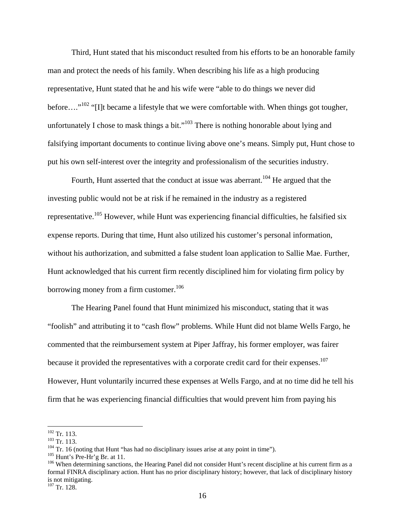Third, Hunt stated that his misconduct resulted from his efforts to be an honorable family man and protect the needs of his family. When describing his life as a high producing representative, Hunt stated that he and his wife were "able to do things we never did before...."<sup>102</sup> "[I]t became a lifestyle that we were comfortable with. When things got tougher, unfortunately I chose to mask things a bit."<sup>103</sup> There is nothing honorable about lying and falsifying important documents to continue living above one's means. Simply put, Hunt chose to put his own self-interest over the integrity and professionalism of the securities industry.

Fourth, Hunt asserted that the conduct at issue was aberrant.<sup>104</sup> He argued that the investing public would not be at risk if he remained in the industry as a registered representative.105 However, while Hunt was experiencing financial difficulties, he falsified six expense reports. During that time, Hunt also utilized his customer's personal information, without his authorization, and submitted a false student loan application to Sallie Mae. Further, Hunt acknowledged that his current firm recently disciplined him for violating firm policy by borrowing money from a firm customer.<sup>106</sup>

The Hearing Panel found that Hunt minimized his misconduct, stating that it was "foolish" and attributing it to "cash flow" problems. While Hunt did not blame Wells Fargo, he commented that the reimbursement system at Piper Jaffray, his former employer, was fairer because it provided the representatives with a corporate credit card for their expenses.<sup>107</sup> However, Hunt voluntarily incurred these expenses at Wells Fargo, and at no time did he tell his firm that he was experiencing financial difficulties that would prevent him from paying his

 $102$  Tr. 113.

<sup>&</sup>lt;sup>103</sup> Tr. 113.<br><sup>104</sup> Tr. 16 (noting that Hunt "has had no disciplinary issues arise at any point in time").<br><sup>105</sup> Hunt's Pre-Hr'g Br. at 11.<br><sup>105</sup> When determining sanctions, the Hearing Panel did not consider Hunt's rece formal FINRA disciplinary action. Hunt has no prior disciplinary history; however, that lack of disciplinary history is not mitigating.

 $107$  Tr. 128.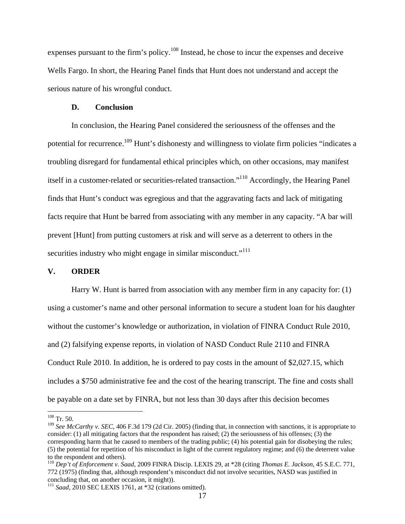expenses pursuant to the firm's policy.<sup>108</sup> Instead, he chose to incur the expenses and deceive Wells Fargo. In short, the Hearing Panel finds that Hunt does not understand and accept the serious nature of his wrongful conduct.

#### **D. Conclusion**

In conclusion, the Hearing Panel considered the seriousness of the offenses and the potential for recurrence.<sup>109</sup> Hunt's dishonesty and willingness to violate firm policies "indicates a troubling disregard for fundamental ethical principles which, on other occasions, may manifest itself in a customer-related or securities-related transaction."110 Accordingly, the Hearing Panel finds that Hunt's conduct was egregious and that the aggravating facts and lack of mitigating facts require that Hunt be barred from associating with any member in any capacity. "A bar will prevent [Hunt] from putting customers at risk and will serve as a deterrent to others in the securities industry who might engage in similar misconduct."<sup>111</sup>

### **V. ORDER**

Harry W. Hunt is barred from association with any member firm in any capacity for: (1) using a customer's name and other personal information to secure a student loan for his daughter without the customer's knowledge or authorization, in violation of FINRA Conduct Rule 2010, and (2) falsifying expense reports, in violation of NASD Conduct Rule 2110 and FINRA Conduct Rule 2010. In addition, he is ordered to pay costs in the amount of \$2,027.15, which includes a \$750 administrative fee and the cost of the hearing transcript. The fine and costs shall be payable on a date set by FINRA, but not less than 30 days after this decision becomes

 $108$  Tr. 50.

<sup>109</sup> *See McCarthy v. SEC*, 406 F.3d 179 (2d Cir. 2005) (finding that, in connection with sanctions, it is appropriate to consider: (1) all mitigating factors that the respondent has raised; (2) the seriousness of his offenses; (3) the corresponding harm that he caused to members of the trading public; (4) his potential gain for disobeying the rules; (5) the potential for repetition of his misconduct in light of the current regulatory regime; and (6) the deterrent value to the respondent and others).

<sup>110</sup> *Dep't of Enforcement v. Saad*, 2009 FINRA Discip. LEXIS 29, at \*28 (citing *Thomas E. Jackson,* 45 S.E.C. 771, 772 (1975) (finding that, although respondent's misconduct did not involve securities, NASD was justified in concluding that, on another occasion, it might)).

<sup>111</sup> *Saad*, 2010 SEC LEXIS 1761, at \*32 (citations omitted).